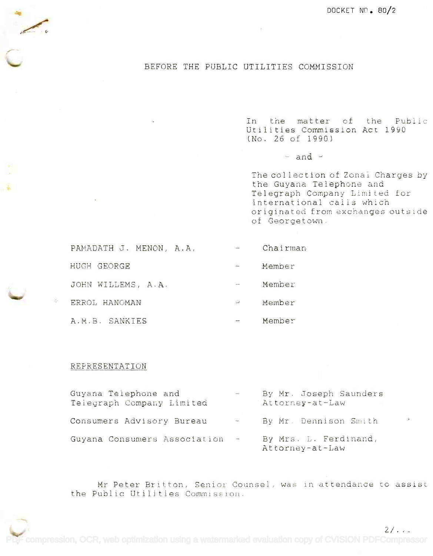## BEFORE THE PUBLIC UTILITIES COMMISSION

In the matter of the Public In the matter of the Public Utilities Commission Act 1990 (No. 26 of 1990) (No. <sup>26</sup> 0t 1990)

 $=$  and  $=$ 

The collection of Zonai Charges by the Guyana Telephone and the Guyana Telephone and the Guyana Telephone and<br>Telegraph Company Limited for international calls which international calls which originated from exchanges outside originated from exchanges outside of Georgetown. **of Gec>rge t ()wn .**

| PAMADATH J. MENON, A.A. | $\sim$        | Chairman |
|-------------------------|---------------|----------|
| HUGH GEORGE             | $\mu_{\rm m}$ | Member   |
| JOHN WILLEMS, A.A.      | <b>Server</b> | Member   |
| ERROL HANOMAN           | ber 1         | Member   |
| A.M.B. SANKIES          | ÷.            | Member   |

## REPRESENTATION

**../**

| Guyana Telephone and<br>Telegraph Company Limited | $\sim$            | By Mr. Joseph Saunders<br>Attorney-at-Law |
|---------------------------------------------------|-------------------|-------------------------------------------|
| Consumers Advisory Bureau                         | <b>Aran</b>       | By Mr. Dennison Smith                     |
| Guyana Consumers Association                      | $\longrightarrow$ | By Mrs. L. Ferdinand,<br>Attorney-at-Law  |

Mr Peter Britton, Senior Counsel, was in attendance to assist Mr Peter Britton. Senior Counsel, was in attendance to assist the Public Utilities Commission. the Public Utilities Commission.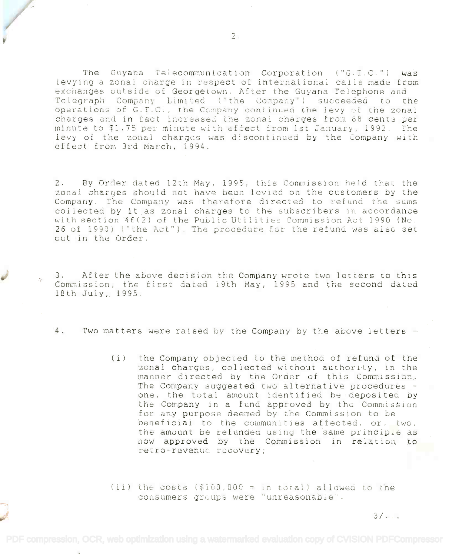The Guyana Telecommunication Corporation ("G.T.C.") was The Guyana Telecommunication Corporation ("C.T.C.") was levying a zonal charge in respect of international calls made from exchanges outside of Georgetown. After the Guyana Telephone and Telegraph Company Limited ("the Company") succeeded to the operations of G.T.C., the Company continued the levy of the zonal charges and in fact increased the zonal charges from 88 cents per charges and in tact increased the zonal charges from 88 cenes per charges and in ract increased the Eonar charges from 60 cents per levy of the zonal charges was discontinued by the Company with effect from 3rd March, 1994.

2. By Order dated 12th May, 1995, this Commission held that the zonal charges should not have been levied on the customers by the Company. The Company was therefore directed to refund the sums company: The company was therefore directed to ferund the sums<br>collected by it as zonal charges to the subscribers in accordance with section 46(2) of the Public Utilities Commission Act 1990 (No. 26 of 1990) ("the Act"). The procedure for the refund was also set out in the Order.

3. After the above decision the Company wrote two letters to this 3. After the above decision the Company wrote two letters to this Commission, the first dated 19th May, 1995 and the second dated 18th July,, 1995. 18th July, 1995.

or or the same of the same of the same

4. Two matters were raised by the Company by the above letters -

(i) the Company objected to the method of refund of the (i) the Company objected to the method of refund of the zonal charges, coliected without authority, in the manner directed by the Order of this Commission. The Company suggested two alternative procedures one, the total amount identified be deposited by the Company in a fund approved by the Commission for any purpose deemed by the Commission to be beneficial to the communities affected, or, two, the amount be refunded using the same principle as now approved by the Commission in relation to retro-revenue recovery;

(ii) the costs  $$100,000 = in total$  allowed to the consumers groups were "unreasonable'.

 $3/1$ .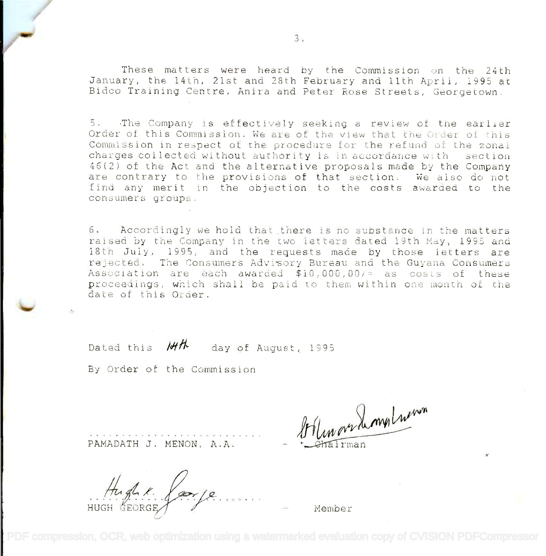These matters were heard by the Commission on the 24th These matters were heard by the Commission un the 24th January, the 14th, 21st and 28th February and 11th April, 1995 at Bidco Training Centre, Anira and Peter Rose Streets, Georgetown. Bidco Training Centre, Anira and Peter Rose Streets, Georgetown.

5. The Company is effectively seeking a review of the earlier Order of this Commission. We are of the view that the Order of this Commission in respect of the procedure for the refund of the zonal charges collected without authority is in accordance with section 46(2) of the Act and the alternative proposals made by the Company 46(2) of the Act and the alternative proposals made by the Company are contrary to the provisions of that section. We also do not are contrary to the provisions of that section. We also do not find any merit in the objection to the costs awarded to the find any merit in the objection to the costs awarded to the consumers groups. consumers groups.

6. Accordingly we hold that there is no substance in the matters raised by the Company in the two letters dated 19th May, 1995 and raised by the Company in the two letters dated 19th May, 1995 and 18th July, 1995, and the requests made by those letters are rejected. The Consumers Advisory Bureau and the Guyana Consumers Association are each awarded \$10,000,00i= as costs or these **Assuciation are eae}l awarded \$10,000,00/'= as CUSLS of** (tle~e proceedings, which shall be paid to them within one month of the date of this Order. date of this Order.

Dated this **M/T** day of August, 1995

By Order of the Commission

PAMADATH J. MENON, A.A.

HUGH GEORGE 1 1999 .. //~ :<:'.. *jJ~If. .* HUGH GEORGE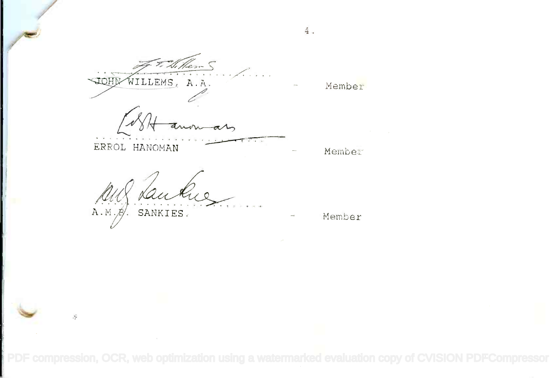$\frac{1}{\sqrt{2}}$  T. N. Hen S ~v wILLEMS, A.A. WILLEMS, A.

Member-

4.

<sup>~</sup> ................. <sup>~</sup>

ERROL HANOMAN Member ERROL HANOMAN

A.M. $\beta$ . SANKIES. The Member .*A*.... *~:*, .....*£*<sup>~</sup> *£* .....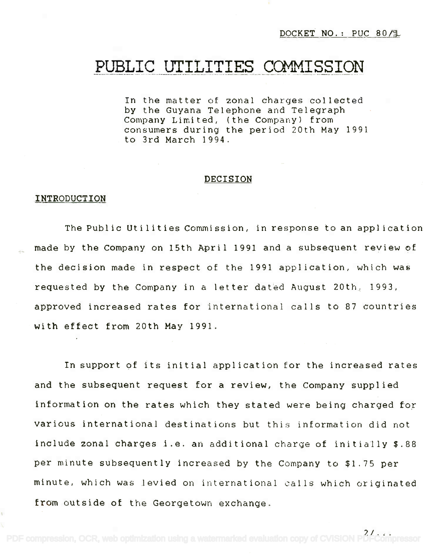DOCKET NO.: PUC 80/1

# PUBLIC UTILITIES COMMISSION **PUBLIC UTILITIES COMMISSION**

In the matter of zonal charges collected In the matter of zonal charges collected by the Guyana Telephone and Telegraph by the Guyana Telephone and Telegraph Company Limited, (the Company) from Company Limited, (the Company) from consumers during the period 20th May 1991 consumers during the period 20th May 1991 to 3rd March 1994. to 3rd March 1994.

#### DECISION

#### INTRODUCTION

The Public Utilities Commission, in response to an application made by the Company on 15th April 1991 and a subsequent review of the decision made in respect of the 1991 application, which was requested by the Company in a letter dated August 20th, 1993, approved increased rates for international calls to 87 countries With effect from 20th May 1991.

In support of its initial application for the increased rates and the subsequent request for a review, the Company supplied information on the rates which they stated were being charged for various international destinations but this information did not include zonal charges i.e. an additional charge of initially \$.88 per minute subsequently increased by the Company to \$1.75 per minute, which was levied on international calls which originated from outside of the Georgetown exchange.

 $21. . . .$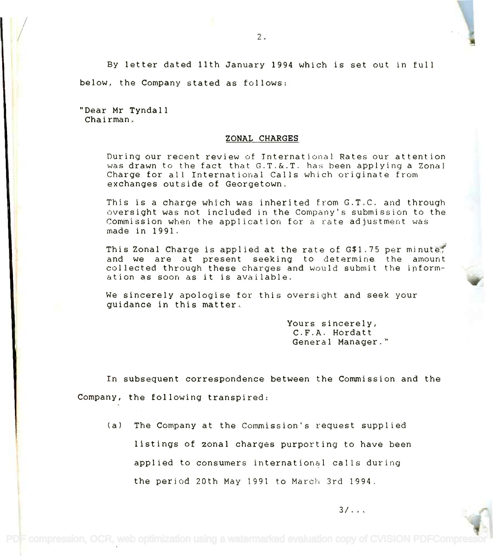By letter dated 11th January 1994 which is set out in full below, the Company stated as follows:

"Dear Mr Tyndall "Dear Mr Tyndall Chairman. Chairman.

#### ZONAL CHARGES

During our recent review of International. Rates our attention During our recent review of International Rates our attention was drawn to the fact that G.T.&.T. has been applying a Zonal Charge for all International Calls which originate from Charge for all International Calls which originate from exchanges outside of Georgetown. exchanges outside of Georgetown.

This is a charge which was inherited from G.T.C. and through This is a charge which was inherited from G.T.C. and through oversight was not included in the Company's submission to the oversight was not included in the Company's submission to the Commission when the application for a rate adjustment was Commission when the application for a rate adjustment was made in 1991. made in 1991.

This Zonal Charge is applied at the rate of  $G$1.75\,\mathrm{per}$  minute,  $\qquad \qquad$ and we are at present seeking to determine the amount and we are at present seeking to determine the amount collected through these charges and would submit the inform-collected through these charges and would submit the information as soon as it is available. ation as soon as it is available.

We sincerely apologise for this oversight and seek your We sincerely apologise for this oversight and seek your guidance in this matter. guidance in this matter.

> Yours sincerely, Yours sincerely, C.F.A. Hordatt C.F.A. Hordatt General Manager." General Manager."

> > $3/\ldots$

In subsequent correspondence between the Commission and the Company, the following transpired:

(a) The Company at the Commission's request supplied listings of zonal charges purporting to have been applied to consumers international calls during the period 20th May 1991 to March 3rd 1994.

PDF compression, OCR, web optimization using a watermarked evaluation copy of CVISION PDFComprest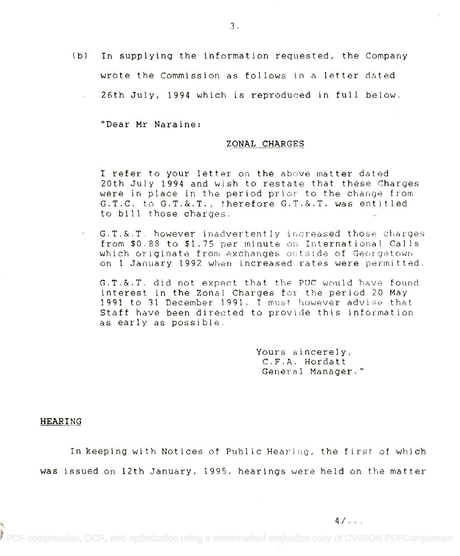(b) In supplying the information requested, the Company wrote the Commission as follows in a letter dated

26th July, 1994 which is reproduced in full below.

"Dear Mr Naraine:

## ZONAL CHARGES

I refer to your letter on the above matter dated **I refer** to your letter on the above matter dated 20th July 1994 and wish to restate that these Charges 20th July 1994 and wish to restate that these Charges were in place in the period prior to the change from were in place in the period prior to the change from G.T.C. to G.T.&.T., therefore G.T.&.T. was entitled G.T.C. to G.T.&.T., therefore G.T.&.T. was entitled to bill those charges. to bill those charges.

 $\texttt{G.T.&.T.}$  however inadvertently increased those charges from \$0.88 to \$1.75 per minute on International Calls which originate from exchanges outside of Georgetown on 1 January 1992 when increased rates were permitted. on 1 January 1992 when increased rates were permitted.

G.T.&.T. did not expect that the PUC would have found interest in the Zonal Charges for the period 20 May interest in the Zonal Charges for the period 20 May 1991 to 31 December 1991, I must however advise that 1991 to 31 December 1991. I must however advise that Staff have been directed to provide this information Staff have been directed to provide this information as early as possible. as early as possible.

> Yours sincerely, Yours sincerely, C.F.A. Hordatt C.F.A. Hordatt General Manager." General Manager."

### HEARING

In keeping with Notices of Public Hearing, the first of which was issued on 12th January, 1995, hearings were held on the matter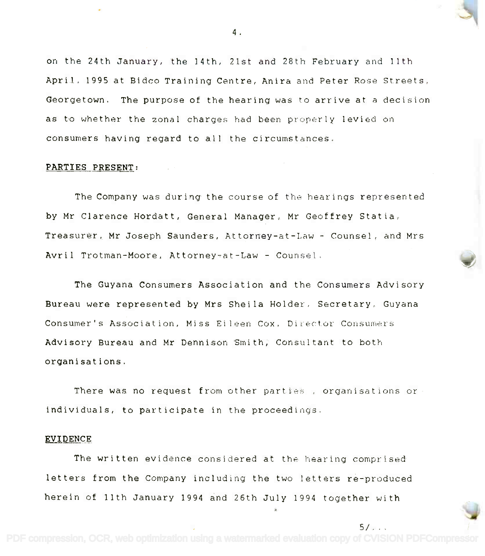on the 24th January, the 14th, 21st and 28th February and 11th on the 24th January, the 14th, 21st and 28th February and 11th April, 1995 at Bidco Training Centre, Anira and Peter Rose Streets, April. 1995 at Bideo Training Centre, Anira and Peter Rose Streets, Georgetown. The purpose of the hearing was to arrive at a decision Georgetown. The purpose of the hearing was to arrive at a decision as to whether the zonal charges had been properly levied on consumers having regard to all the circumstances. consumers having regard to all the circumstances.

#### PARTIES PRESENT:

The Company was during the course of the hearings represented by Mr Clarence Hordatt, General Manager, Mr Geoffrey Statia, by Mr Clarence Hordatt, General Manager, Mr Geoffrey Statia, Treasurer, Mr Joseph Saunders, Attorney-at-Law Counsel, and Mrs Treasurer, Mr Joseph Saunders, Attorney-at-Law - Counsel, and Mrs Avril Trotman-Moore, Attorney-at-Law Counsel. Avril Trotman-Moore, Attorney-at-Law - Counsel.

The Guyana Consumers Association and the Consumers Advisory The Guyana Consumers Association and the Consumers Advisory Bureau were represented by Mrs Sheila Holder, Secretary, Guyana Bureau were represented by Mrs Sheila Holder. Secretary, Guyana Consumer's Association, Miss Eileen Cox, Ditector Consumers Consumer's Association, Miss Eileen Cox, Oil-ector COllsumers Advisory Bureau and Mr Dennison Smith; Consultant to both organisations. organisations.

There was no request from other parties , organisations or There was no request from other parties, organisations or individuals, to participate in the proceedings. individuals, to participate in the proceedings.

## EVIDENCE

The written evidence considered at the hearing comprised The written evidence considered at the hearing comprised letters from the Company including the two letters re-produced letters from the Company including the two letters re-produced herein of 11th January 1994 and 26th July 1994 together with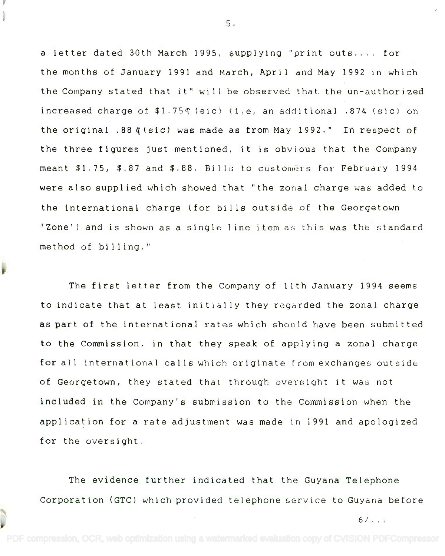a letter dated 30th March 1995, supplying "print outs.... for a letter dated 30th March 1995, supplying "print outs .... for the months of January 1991 and March, April and May 1992 in which the months of January 1991 and March, April and May 1992 in which the Company stated that it" will be observed that the un-authorized the Company stated that it" will be observed that the un-authorized increased charge of \$1.75¢ (sic) (i.e. an additional .874 (sic) on the original .88  $\zeta$  (sic) was made as from May 1992." In respect of the three figures just mentioned, it is obvious that the Company the three figures just mentioned, it is obvious that the Company meant \$1,75, \$.87 and \$.88. Bills to customers for February 1994 were also supplied which showed that "the zonal charge was added to were also supplied which showed that "the zonal charge was added to the international charge (for bills outside of the Georgetown the international charge (for bills outside of the Georgetown 'Zone') and is shown as a single line item as this was the standard 'Zone') and is shown as a single line item as this was the standard method of billing." method of billing."

The first letter from the Company of 11th January 1994 seems The first letter from the Company of 11th January 1994 seems to indicate that at least initially they regarded the zonal charge to indicate that at least initially they regarded the zonal charge as part of the international rates which should have been submitted as part of the international rates which should have been submitted to the Commission, in that they speak of applying a zonal charge for all international calls which originate from exchanges outside for all international calls which originate from exchanges outside of Georgetown, they stated that through oversight it was not included in the Company's submission to the Commission when the included in the Company's submission to the Commission when the application for a rate adjustment was made in 1991 and apologized application for a rate adjustment was made in 1991 and apologized for the oversight. for the oversight.

The evidence further indicated that the Guyana Telephone The evidence further indicated that the Guyana Telephone Corporation (GTC) which provided telephone service to Guyana before Corporation (GTC) which provided telephone service to Guyana before

6/... 6/ ...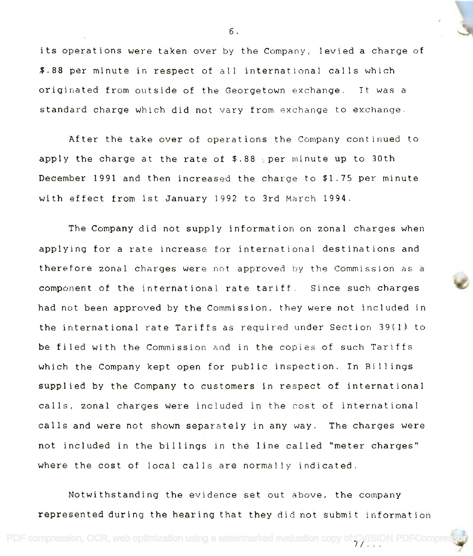its operations were taken over by the Company, levied a charge of its operations were taken over by the Company, levied a charge of \$.88 per minute in respect of all international calls which \$.88 per minute in respect of all international calls which originated from outside of the Georgetown exchange. It was a originated from outside of the Georgetown exchange. It was a standard charge which did not vary from exchange to exchange. standard charge which did not vary from exchange to exchange.

After the take over of operations the Company continued to After the take over of operations the Company continued to apply the charge at the rate of \$.88 per minute up to 30th apply the charge at the rate of \$.88 ~per minute up to 30th December 1991 and then increased the charge to \$1.75 per minute December 1991 and then increased the charge to \$1.75 per minute with effect from 1st January 1992 to 3rd March 1994. with effect from 1st January 1992 to 3rd March 1994.

The Company did not supply information on zonal charges when The Company did not supply information on zonal charges when applying for a rate increase for international destinations and applying for a rate increase for international destinations and therefore zonal charges were not approved by the Commission as a therefore zonal charges were not approved by the Commission as a component of the international rate tariff. Since such charges component of the international rate tariff. Since such charges had not been approved by the Commission, they were not included in had not been approved by the Commission, they were not included in the international rate Tariffs as required under Section 39(1) to the international rate Tariffs as 'required under Section 39(1) to be filed with the Commission and in the copies of such Tariffs which the Company kept open for public inspection. In Billings which the Company kept open for public inspection. In Bill ings supplied by the Company to customers in respect of international supplied by the Company to customers in respect of international calls, zonal charges were included in the cost of international calls. zonal charges were included in the cost of international calls and were not shown separately in any way. The charges were calls and were not shown separately in any way. The charges were not included in the billings in the line called "meter charges" not inclUded in the billings in the l.ine called "meter charges" where the cost of local calls are normally indicated. where the cost of local calls are normally indicated.

Notwithstanding the evidence set out above, the company Notwithstanding the evidence set out above, the company represented during the hearing that they did not submit information represented during the hearing that they did not submit information

PDF compression, OCR, web optimization using a watermarked evaluation copy of CVISION PDFComp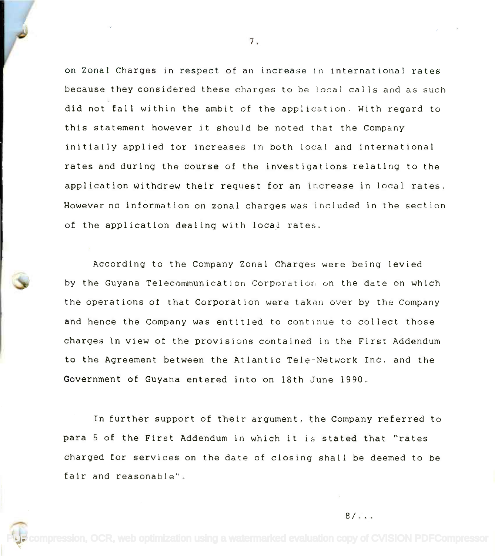on Zonal Charges in respect of an increase in international rates on Zonal Charges in respect of an increase in international rates because they considered these charges to be local calls and as such did not fall within the ambit of the application. With regard to did not fall within the ambit of the application. With regard to this statement however it should be noted that the Company this statement however it should be noted that the Company initially applied for increases in both local and international initially applied for increases in both local and international rates and during the course of the investigations relating to the rates and during the course of the investigations relating to the application withdrew their request for an increase in local rates. application withdrew their request for an increase in local rates. However no information on zonal charges was included in the section However no information on 20nal charges was included in the section of the application dealng with local rates. of the application dealing with local rates.

According to the Company Zonal Charges were being levied According to the Company Zonal Charges were being levied by the Guyana Telecommunication Corporation on the date on which by the Guyana Telecommunication Corporation on the date on which the operations of that Corporation were taken over by the Company the operations of that Corporation were taken over by the Company and hence the Company was entitled to continue to collect those and hence the Company was entitled to continue to collect those charges in view of the provisions contained in the First Addendum charges in view of the provisions contained in the First Addendum to the Agreement between the Atlantic Tele-Network Inc. and the to the Agreement between the Atlantic Tele-Network Inc. and the Government of Guyana entered into on 18th June 1990. Government of Guyana entered into on 18th June 1990.

In further support of their argument, the Company referred to In further support of their argument, the Company referred to para 5 of the First Addendum in which it is stated that "rates para 5 of the First Addendum in which it is stated that "rates charged for services on the date of closing shall be deemed to be charged for services on the date of closing shall be deemed to be fair and reasonable". fair and reasonable".

 $8/1.1$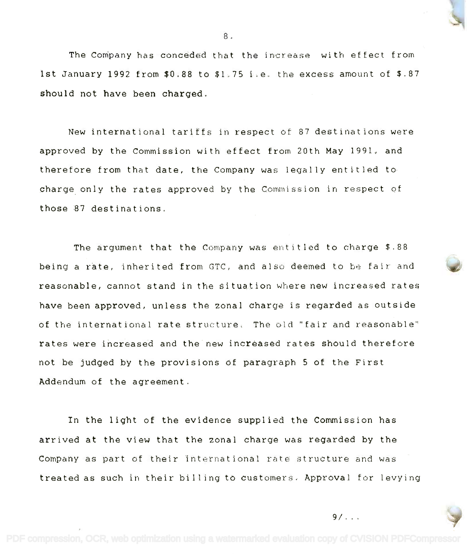

8. 8.

New international tariffs in respect of 87 destinations were New international tariffs in respect of 87 destinations were approved by the Commission with effect from 20th May 1991, and approved by the Commission with effect from 20th May 1991, and therefore from that date, the Company was legally entitled to therefore from that date, the Company was legally entitled to charge only the rates approved by the Commission in respect of charge, only the rates approved by the Commission in respect of those 87 destinations, those 87 destinations.

The argument that the Company was entitled to charge \$.88 The argument that the Company was entitled to charge \$.88 being a rate, inherited from GTC, and also deemed to be fair and being a rate, inherited from GTe, and also deemed to be fair and reasonable, cannot stand in the situation where new increased rates reasonable, cannot stand in the situation where new increased rates have been approved, unless the zonal charge is regarded as outside have been approved, unless the zonal charge is regarded as outside of the international rate structure. The old "fair and reasonable" of the international rate structure. The old "fair and reasonable" rates were increased and the new increased rates should therefore rates were increased and the new increased rates should therefore not be judged by the provisions of paragraph 5 of the First not be judged by the provisions of paragraph 5 of the First Addendum of the agreement. Addendum of the agreement.

In the light of the evidence supplied the Commission has In the light of the evidence supplied the Commission has arrived at the view that the zonal charge was regarded by the arrived at the view that the zonal charge was regarded by the Company as part of their international rate structure and was Company as part of their international rate structure and was treated as such in their billing to customers. Approval for levying treated as such in their billing to customers. Approval for levying

 $9/$ . . .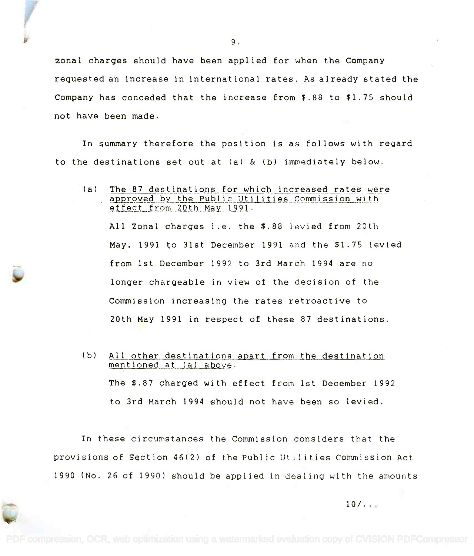zonal charges should have been applied for when the Company requested an increase in international rates. As already stated the Company has conceded that the increase from \$.88 to \$1.75 should not have been made.

In summary therefore the position is as follows with regard to the destinations set out at (a) & (b) immediately below.

(a) The 87 destinations for which increased rates were <u>.He of destinations for which increased faces were</u><br>approved by the Public Utilities Commission with effect from 20th May 1991.

All Zonal charges i.e. the \$.88 levied from 20th May, 199] to 31st December 1991 and the \$1.75 levied from 1st December 1992 to 3rd March 1994 are no longer chargeable in view of the decision of the Commission increasing the rates retroactive to 20th May 1991 in respect of these 87 destinations.

(b) All other destinations apart from the destination mentioned at (a) above. The \$.87 charged with effect from 1st December 1992 to 3rd March 1994 should not have been so levied.

In these circumstances the Commission considers that the provisions of Section 46(2) of the Public Utilities Commission Act 1990 (No. 26 of 1990) should be applied in dealing with the amounts

 $10/$ ...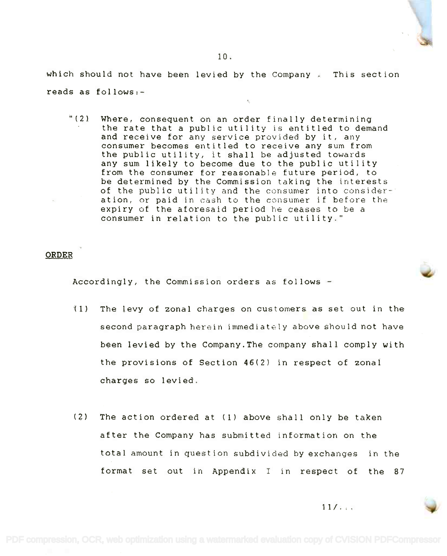which should not have been levied by the Company . This section reads as follows:-

"(2) Where, consequent on an order finally determining "(2) Where, consequent on an order finally determining the rate that a public utility is entitled to demand and receive for any service provided by it, any and receive for any service provided by it, any consumer becomes entitled to receive any sum from consumer becomes entitled to receive any sum from the public utility, it shall be adjusted towards the public utility, it shall be adjusted towards any sum likely to become due to the public utility any sum likely to become due to the public utility from the consumer for reasonable future period, to from the consumer for reasonable future period, to be determined by the Commission taking the interests be determined by the Commission taking the interests of the public utility and the consumer into consider-of the public utility and the consumer into conslder-' ation, or paid in cash to the consumer if before the ation, or paid in cash to the cnnsumer if before the expiry of the aforesaid period he ceases to be a expiry of the aforesaid period he ceases to be a consumer in relation to the public utility." consumer in relation to the public utility."

## ORDER

Accordingly, the Commission orders as follows

- (1) The levy of zonal charges on customers as set out in the second paragraph herein immediately above should not have been levied by the Company.The company shall comply with the provisions of Section 46(2) in respect of zonal charges so levied.
- (2) The action ordered at (1) above shall only be taken after the Company has submitted information on the total amount in question subdivided by exchanges in the format set out in Appendix <sup>I</sup> in respect of the 87

 $11/$ ...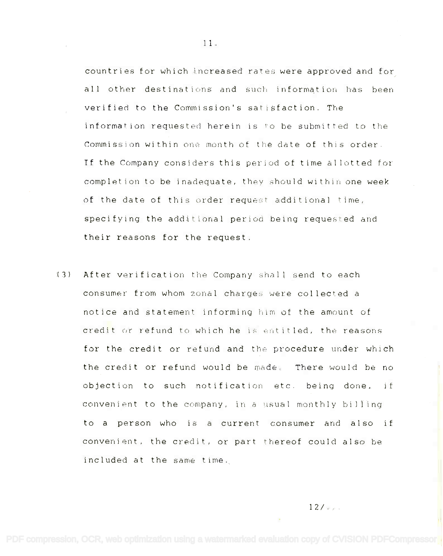countries for which increased rates were approved and for countries for which increased rates were approved and for all other destinations and such information has been all other destinations and such information has been verified to the Commission's satisfaction. The verified to the Commission's satisfaction. The information requested herein is to be submitted to the Commission within one month of the date of this order.  $\,$ If the Company considers this period of time allotted for **If** the Company considers this period of time al lotted for completion to be inadequate, they should within one week  $\hspace{0.1cm}$ of the date of this order request additional time, specifying the additional period being requested and specifying the additional period being requested and their reasons for the request. their reasons for the request.

(3) After verification the Company shall send to each consumer from whom zonal charges were collected a consumer from whom zonal charges were collected a notice and statement informing him of the amount of notice and statement informing him of the amount of credit or refund to which he is entitled, the reasons for the credit or refund and the procedure under which the credit or refund would be made. There would be no objection to such notification etc. being done, if objection to such notification etc. being done, if convenient to the company, in a usual monthly billing  $\hskip1cm \longrightarrow$ to a person who is a current consumer and also if convenient, the credit, or part thereof could also be convenient, the credit, or part thereof could also be included at the same time. included at the same time.

 $12/$ ...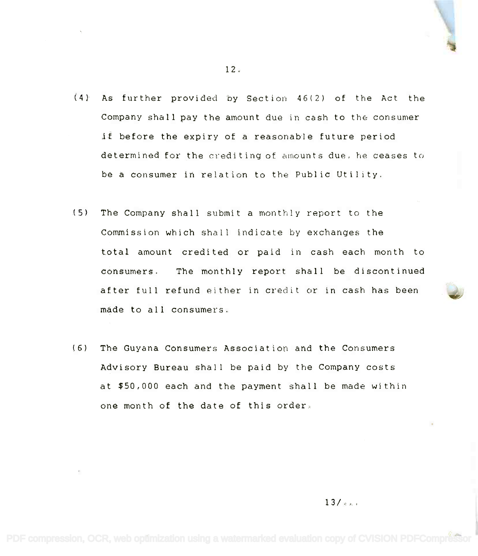- (4) As further provided by Section 46(2) of the Act the (4) As further provided by Section 46(2) of the Act the Company shall pay the amount due in cash to the consumer if before the expiry of a reasonable future period if before the expiry of a reasonable future period determined for the crediting of amounts due, he ceases to determined for the c:reditingof amounts due. he ceases to be a consumer in relation to the Public Utility. be a consumer in relation to the Public Utility.
- (5) The Company shall submit a monthly report to the (5) The Company shall submit a monthly report to the Commission which shall indicate by exchanges the Commission which shall indicate by exchanges the total amount credited or paid in cash each month to total amount credi ted or paid in cash each month to consumers. The monthly report shall be discontinued consumers. The monthly report shall be discontinued after full refund either in credit or in cash has been after full refund either in credit or in cash has been made to all consumers. made to all consumers.
- (6) The Guyana Consumers Association and the Consumers (6) The Guyana Consumers Association and the Consumers Advisory Bureau shall be paid by the Company costs Advisory Bureau shall be paid by the Company costs at \$50,000 each and the payment shall be made within at \$50,000 each and the payment shall be made within one month of the date of this order.

12.

 $13/2...$